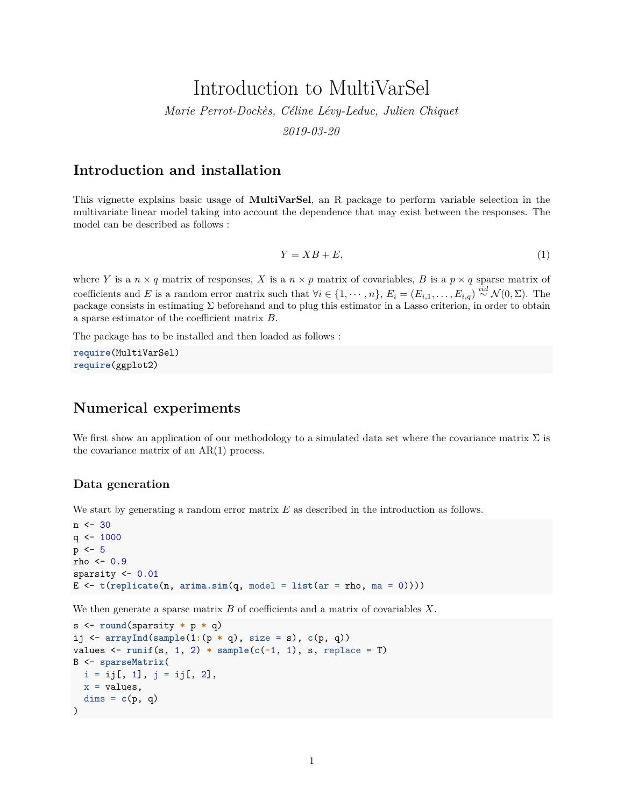# Introduction to MultiVarSel *Marie Perrot-Dockès, Céline Lévy-Leduc, Julien Chiquet 2019-03-20*

### **Introduction and installation**

This vignette explains basic usage of **MultiVarSel**, an R package to perform variable selection in the multivariate linear model taking into account the dependence that may exist between the responses. The model can be described as follows :

<span id="page-0-0"></span>
$$
Y = XB + E,\tag{1}
$$

where *Y* is a  $n \times q$  matrix of responses, *X* is a  $n \times p$  matrix of covariables, *B* is a  $p \times q$  sparse matrix of coefficients and *E* is a random error matrix such that  $\forall i \in \{1, \dots, n\}$ ,  $E_i = (E_{i,1}, \dots, E_{i,q}) \stackrel{iid}{\sim} \mathcal{N}(0, \Sigma)$ . The package consists in estimating Σ beforehand and to plug this estimator in a Lasso criterion, in order to obtain a sparse estimator of the coefficient matrix *B*.

The package has to be installed and then loaded as follows :

**require**(MultiVarSel) **require**(ggplot2)

### **Numerical experiments**

We first show an application of our methodology to a simulated data set where the covariance matrix  $\Sigma$  is the covariance matrix of an AR(1) process.

### **Data generation**

We start by generating a random error matrix *E* as described in the introduction as follows.

```
n < -30q \leftarrow 1000p \le -5rho <-0.9sparsity \leq -0.01E \leftarrow t(replicate(n, \text{arima.sim}(q, \text{model} = \text{list}(ar = rho, \text{ma} = 0))))
```
We then generate a sparse matrix *B* of coefficients and a matrix of covariables *X*.

```
s <- round(sparsity * p * q)
ij <- arrayInd(sample(1:(p * q), size = s), c(p, q))
values \leq runif(s, 1, 2) * sample(c(-1, 1), s, replace = T)
B <- sparseMatrix(
 i = ij[, 1], j = ij[, 2],x =values,
  \text{dims} = c(p, q))
```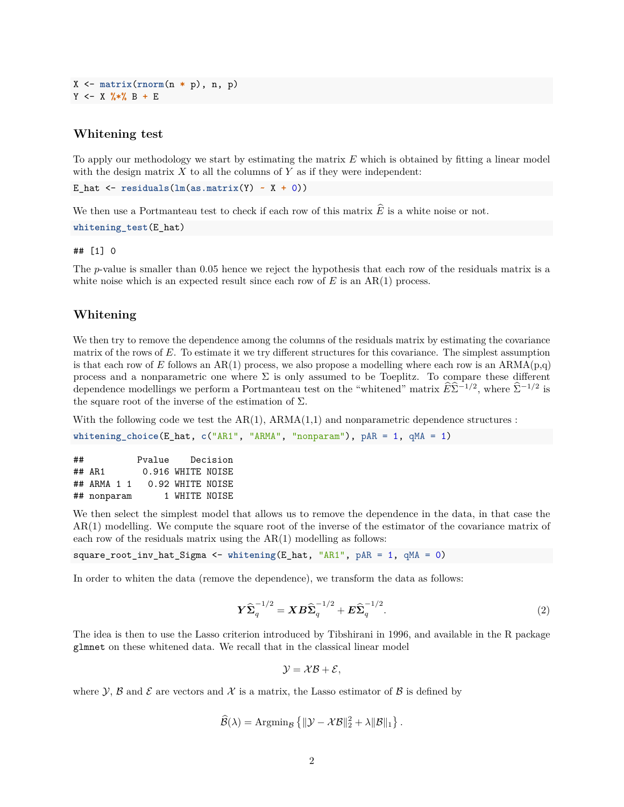X <- **matrix**(**rnorm**(n **\*** p), n, p) Y <- X **%\*%** B **+** E

#### **Whitening test**

To apply our methodology we start by estimating the matrix *E* which is obtained by fitting a linear model with the design matrix  $X$  to all the columns of  $Y$  as if they were independent:

```
E hat \leq residuals(\text{lm}(as.matrix(Y) \sim X + 0))
```
We then use a Portmanteau test to check if each row of this matrix  $\widehat{E}$  is a white noise or not.

**whitening\_test**(E\_hat)

#### ## [1] 0

The *p*-value is smaller than 0.05 hence we reject the hypothesis that each row of the residuals matrix is a white noise which is an expected result since each row of  $E$  is an  $AR(1)$  process.

#### **Whitening**

We then try to remove the dependence among the columns of the residuals matrix by estimating the covariance matrix of the rows of *E*. To estimate it we try different structures for this covariance. The simplest assumption is that each row of  $E$  follows an  $AR(1)$  process, we also propose a modelling where each row is an  $ARMA(p,q)$ process and a nonparametric one where  $\Sigma$  is only assumed to be Toeplitz. To compare these different dependence modellings we perform a Portmanteau test on the "whitened" matrix  $\widehat{E}\widehat{\Sigma}^{-1/2}$ , where  $\widehat{\Sigma}^{-1/2}$  is the square root of the inverse of the estimation of  $\Sigma$ .

With the following code we test the  $AR(1)$ ,  $ARMA(1,1)$  and nonparametric dependence structures :

**whitening\_choice**(E\_hat, **c**("AR1", "ARMA", "nonparam"), pAR = 1, qMA = 1)

| ## |             |  | Pvalue |                   | Decision |
|----|-------------|--|--------|-------------------|----------|
|    | $\#$ # AR1  |  |        | 0.916 WHITE NOISE |          |
|    | ## ARMA 1 1 |  |        | 0.92 WHITE NOISE  |          |
|    | ## nonparam |  |        | 1 WHITE NOISE     |          |

We then select the simplest model that allows us to remove the dependence in the data, in that case the AR(1) modelling. We compute the square root of the inverse of the estimator of the covariance matrix of each row of the residuals matrix using the  $AR(1)$  modelling as follows:

```
square_root_inv_hat_Sigma <- whitening(E_hat, "AR1", pAR = 1, qMA = 0)
```
In order to whiten the data (remove the dependence), we transform the data as follows:

<span id="page-1-0"></span>
$$
\boldsymbol{Y}\widehat{\boldsymbol{\Sigma}}_q^{-1/2} = \boldsymbol{X}\boldsymbol{B}\widehat{\boldsymbol{\Sigma}}_q^{-1/2} + \boldsymbol{E}\widehat{\boldsymbol{\Sigma}}_q^{-1/2}.
$$
 (2)

The idea is then to use the Lasso criterion introduced by Tibshirani in 1996, and available in the R package glmnet on these whitened data. We recall that in the classical linear model

$$
\mathcal{Y} = \mathcal{X}\mathcal{B} + \mathcal{E},
$$

where Y, B and E are vectors and X is a matrix, the Lasso estimator of B is defined by

$$
\widehat{\mathcal{B}}(\lambda) = \mathrm{Argmin}_{\mathcal{B}} \left\{ \|\mathcal{Y} - \mathcal{X}\mathcal{B}\|_2^2 + \lambda \|\mathcal{B}\|_1 \right\}.
$$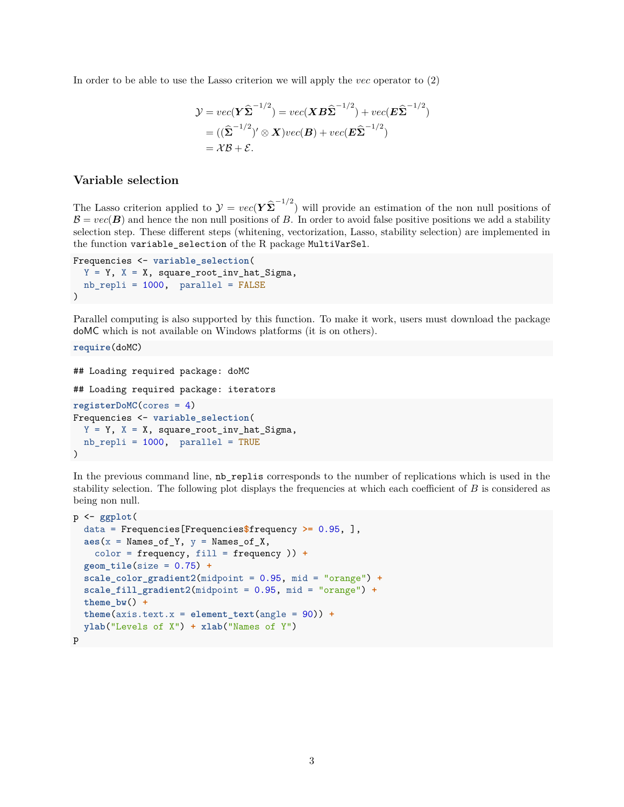In order to be able to use the Lasso criterion we will apply the *vec* operator to [\(2\)](#page-1-0)

$$
\mathcal{Y} = vec(\mathbf{Y}\widehat{\boldsymbol{\Sigma}}^{-1/2}) = vec(\mathbf{X}\boldsymbol{B}\widehat{\boldsymbol{\Sigma}}^{-1/2}) + vec(\boldsymbol{E}\widehat{\boldsymbol{\Sigma}}^{-1/2})
$$
  
= (( $\widehat{\boldsymbol{\Sigma}}^{-1/2}$ )'  $\otimes$   $\mathbf{X}$ ) $vec(\boldsymbol{B}) + vec(\boldsymbol{E}\widehat{\boldsymbol{\Sigma}}^{-1/2})$   
=  $\mathcal{X}\mathcal{B} + \mathcal{E}$ .

#### **Variable selection**

The Lasso criterion applied to  $\mathcal{Y} = vec(Y \hat{\Sigma}^{-1/2})$  will provide an estimation of the non null positions of  $\mathcal{B} = vec(\mathbf{B})$  and hence the non null positions of *B*. In order to avoid false positive positions we add a stability selection step. These different steps (whitening, vectorization, Lasso, stability selection) are implemented in the function variable\_selection of the R package MultiVarSel.

```
Frequencies <- variable_selection(
  Y = Y, X = X, square_root_inv_hat_Sigma,
  nb_repli = 1000, parallel = FALSE
\mathcal{L}
```
Parallel computing is also supported by this function. To make it work, users must download the package doMC which is not available on Windows platforms (it is on others).

**require**(doMC)

```
## Loading required package: doMC
## Loading required package: iterators
registerDoMC(cores = 4)
Frequencies <- variable_selection(
 Y = Y, X = X, square_root_inv_hat_Sigma,
 nb_repli = 1000, parallel = TRUE
)
```
In the previous command line, nb\_replis corresponds to the number of replications which is used in the stability selection. The following plot displays the frequencies at which each coefficient of *B* is considered as being non null.

```
p <- ggplot(
  data = Frequencies[Frequencies$frequency >= 0.95, ],
  \texttt{aes}(x = \texttt{Names_of}_y, y = \texttt{Names_of}_X,color = frequency, fill = frequency )) +
  geom_tile(size = 0.75) +
  scale_color_gradient2(midpoint = 0.95, mid = "orange") +
  scale_fill_gradient2(midpoint = 0.95, mid = "orange") +
  theme bw() +theme(axis.text.x = element_test(angle = 90)) +ylab("Levels of X") + xlab("Names of Y")
p
```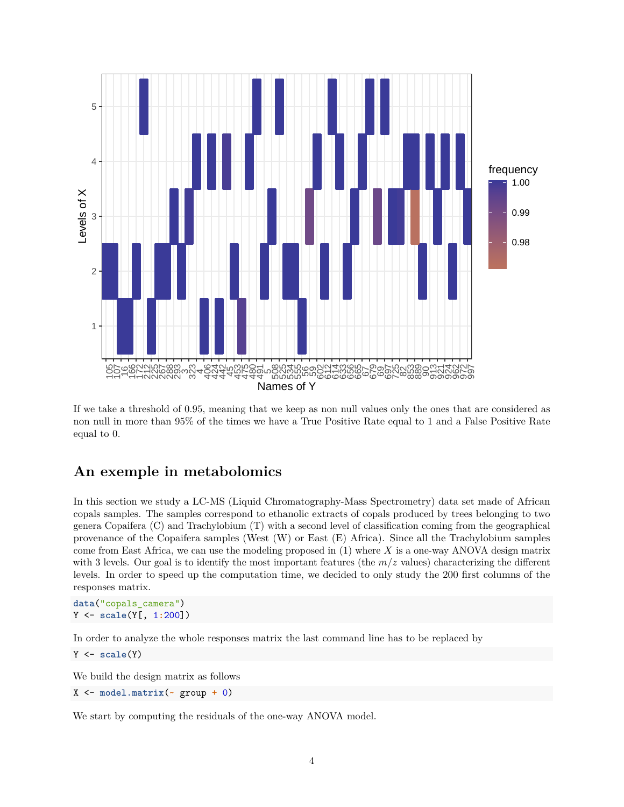

If we take a threshold of 0.95, meaning that we keep as non null values only the ones that are considered as non null in more than 95% of the times we have a True Positive Rate equal to 1 and a False Positive Rate equal to 0.

### **An exemple in metabolomics**

In this section we study a LC-MS (Liquid Chromatography-Mass Spectrometry) data set made of African copals samples. The samples correspond to ethanolic extracts of copals produced by trees belonging to two genera Copaifera (C) and Trachylobium (T) with a second level of classification coming from the geographical provenance of the Copaifera samples (West (W) or East (E) Africa). Since all the Trachylobium samples come from East Africa, we can use the modeling proposed in [\(1\)](#page-0-0) where *X* is a one-way ANOVA design matrix with 3 levels. Our goal is to identify the most important features (the  $m/z$  values) characterizing the different levels. In order to speed up the computation time, we decided to only study the 200 first columns of the responses matrix.

**data**("copals\_camera") Y <- **scale**(Y[, 1**:**200])

In order to analyze the whole responses matrix the last command line has to be replaced by

Y <- **scale**(Y)

We build the design matrix as follows

X <- **model.matrix**(**~** group **+** 0)

We start by computing the residuals of the one-way ANOVA model.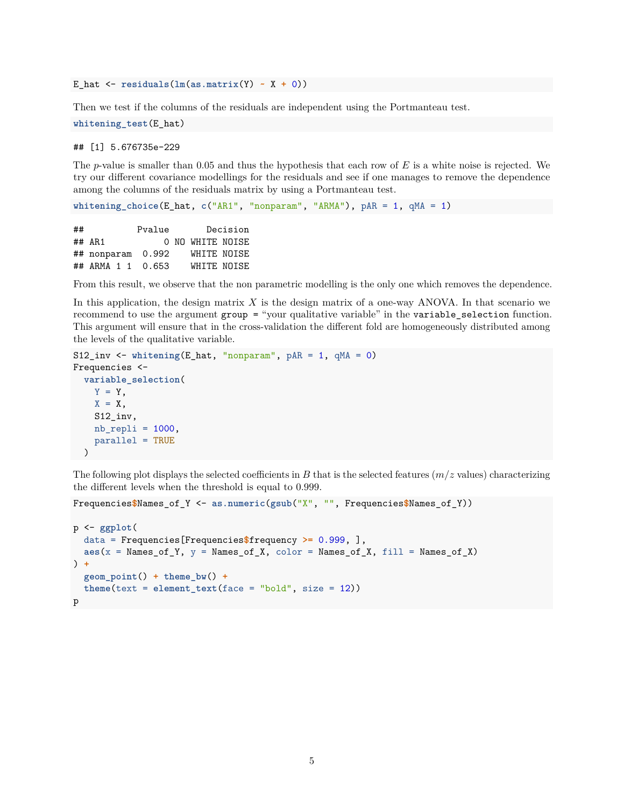E\_hat <- **residuals**(**lm**(**as.matrix**(Y) **~** X **+** 0))

Then we test if the columns of the residuals are independent using the Portmanteau test.

**whitening\_test**(E\_hat)

## [1] 5.676735e-229

The *p*-value is smaller than 0.05 and thus the hypothesis that each row of *E* is a white noise is rejected. We try our different covariance modellings for the residuals and see if one manages to remove the dependence among the columns of the residuals matrix by using a Portmanteau test.

```
whitening_choice(E_hat, c("AR1", "nonparam", "ARMA"), pAR = 1, qMA = 1)
```
## Pvalue Decision ## AR1 0 NO WHITE NOISE ## nonparam 0.992 WHITE NOISE ## ARMA 1 1 0.653 WHITE NOISE

From this result, we observe that the non parametric modelling is the only one which removes the dependence.

In this application, the design matrix *X* is the design matrix of a one-way ANOVA. In that scenario we recommend to use the argument group = "your qualitative variable" in the variable\_selection function. This argument will ensure that in the cross-validation the different fold are homogeneously distributed among the levels of the qualitative variable.

```
S12_inv <- whitening(E_hat, "nonparam", pAR = 1, qMA = 0)
Frequencies <-
  variable_selection(
    Y = Y,
    X = X,
    S12_inv,
    nb_rep1i = 1000,parallel = TRUE
 )
```
The following plot displays the selected coefficients in *B* that is the selected features (*m/z* values) characterizing the different levels when the threshold is equal to 0.999.

Frequencies**\$**Names\_of\_Y <- **as.numeric**(**gsub**("X", "", Frequencies**\$**Names\_of\_Y))

```
p <- ggplot(
  data = Frequencies[Frequencies$frequency >= 0.999, ],
  aes(x = Names_of_Y, y = Names_of_X, color = Names_of_X, fill = Names_of_X)) +
  geom_point() + theme_bw() +
  theme(text = element_text(face = "bold", size = 12))
p
```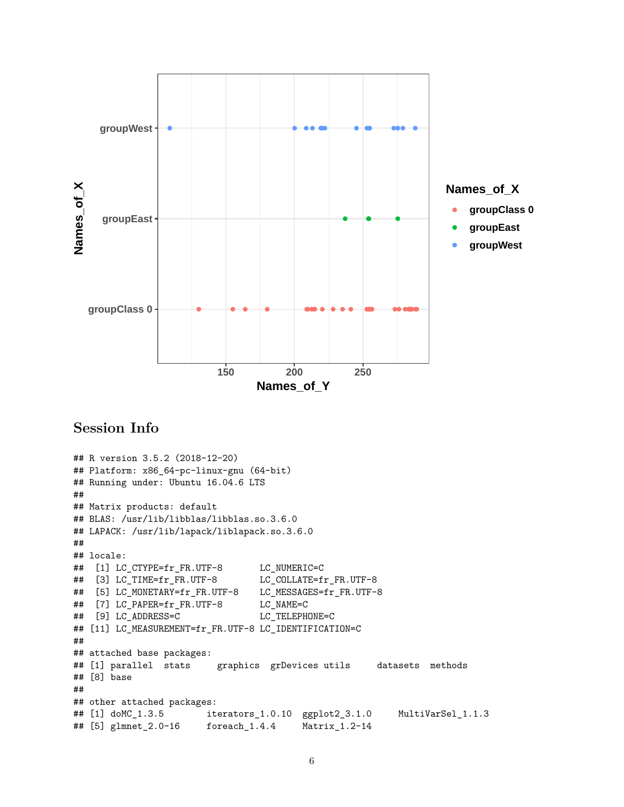

## **Session Info**

```
## R version 3.5.2 (2018-12-20)
## Platform: x86_64-pc-linux-gnu (64-bit)
## Running under: Ubuntu 16.04.6 LTS
##
## Matrix products: default
## BLAS: /usr/lib/libblas/libblas.so.3.6.0
## LAPACK: /usr/lib/lapack/liblapack.so.3.6.0
##
## locale:
## [1] LC_CTYPE=fr_FR.UTF-8 LC_NUMERIC=C
## [3] LC_TIME=fr_FR.UTF-8 LC_COLLATE=fr_FR.UTF-8
## [5] LC_MONETARY=fr_FR.UTF-8 LC_MESSAGES=fr_FR.UTF-8
## [7] LC_PAPER=fr_FR.UTF-8 LC_NAME=C
## [9] LC_ADDRESS=C LC_TELEPHONE=C
## [11] LC_MEASUREMENT=fr_FR.UTF-8 LC_IDENTIFICATION=C
##
## attached base packages:
## [1] parallel stats graphics grDevices utils datasets methods
## [8] base
##
## other attached packages:
## [1] doMC_1.3.5 iterators_1.0.10 ggplot2_3.1.0 MultiVarSel_1.1.3
## [5] glmnet_2.0-16 foreach_1.4.4 Matrix_1.2-14
```